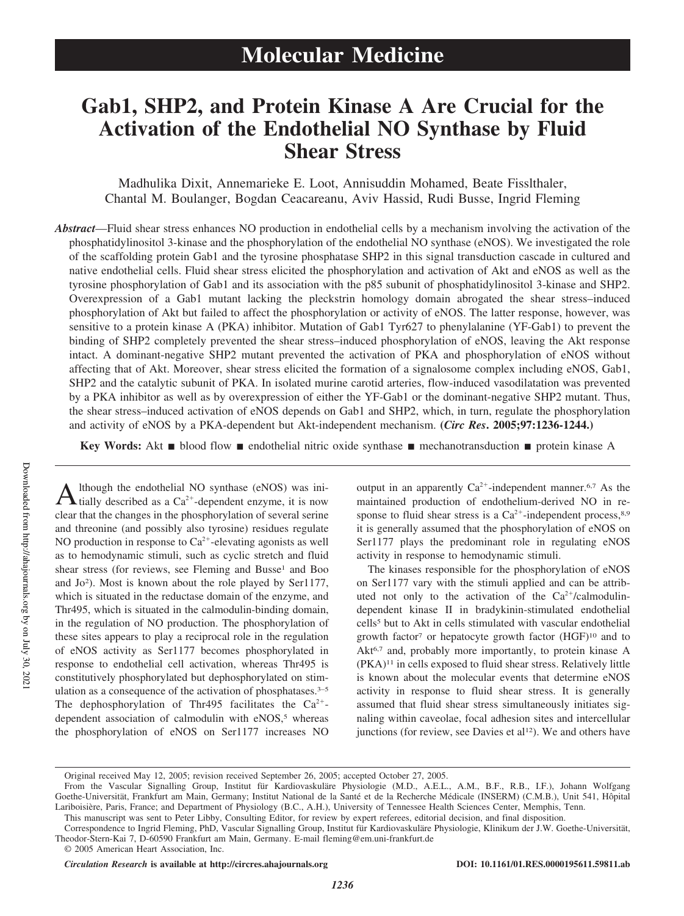# **Gab1, SHP2, and Protein Kinase A Are Crucial for the Activation of the Endothelial NO Synthase by Fluid Shear Stress**

Madhulika Dixit, Annemarieke E. Loot, Annisuddin Mohamed, Beate Fisslthaler, Chantal M. Boulanger, Bogdan Ceacareanu, Aviv Hassid, Rudi Busse, Ingrid Fleming

*Abstract*—Fluid shear stress enhances NO production in endothelial cells by a mechanism involving the activation of the phosphatidylinositol 3-kinase and the phosphorylation of the endothelial NO synthase (eNOS). We investigated the role of the scaffolding protein Gab1 and the tyrosine phosphatase SHP2 in this signal transduction cascade in cultured and native endothelial cells. Fluid shear stress elicited the phosphorylation and activation of Akt and eNOS as well as the tyrosine phosphorylation of Gab1 and its association with the p85 subunit of phosphatidylinositol 3-kinase and SHP2. Overexpression of a Gab1 mutant lacking the pleckstrin homology domain abrogated the shear stress–induced phosphorylation of Akt but failed to affect the phosphorylation or activity of eNOS. The latter response, however, was sensitive to a protein kinase A (PKA) inhibitor. Mutation of Gab1 Tyr627 to phenylalanine (YF-Gab1) to prevent the binding of SHP2 completely prevented the shear stress–induced phosphorylation of eNOS, leaving the Akt response intact. A dominant-negative SHP2 mutant prevented the activation of PKA and phosphorylation of eNOS without affecting that of Akt. Moreover, shear stress elicited the formation of a signalosome complex including eNOS, Gab1, SHP2 and the catalytic subunit of PKA. In isolated murine carotid arteries, flow-induced vasodilatation was prevented by a PKA inhibitor as well as by overexpression of either the YF-Gab1 or the dominant-negative SHP2 mutant. Thus, the shear stress–induced activation of eNOS depends on Gab1 and SHP2, which, in turn, regulate the phosphorylation and activity of eNOS by a PKA-dependent but Akt-independent mechanism. **(***Circ Res***. 2005;97:1236-1244.)**

**Key Words:** Akt ■ blood flow ■ endothelial nitric oxide synthase ■ mechanotransduction ■ protein kinase A

A lthough the endothelial NO synthase (eNOS) was initially described as a Ca<sup>2+</sup>-dependent enzyme, it is now lthough the endothelial NO synthase (eNOS) was iniclear that the changes in the phosphorylation of several serine and threonine (and possibly also tyrosine) residues regulate NO production in response to  $Ca^{2+}$ -elevating agonists as well as to hemodynamic stimuli, such as cyclic stretch and fluid shear stress (for reviews, see Fleming and Busse<sup>1</sup> and Boo and Jo<sup>2</sup> ). Most is known about the role played by Ser1177, which is situated in the reductase domain of the enzyme, and Thr495, which is situated in the calmodulin-binding domain, in the regulation of NO production. The phosphorylation of these sites appears to play a reciprocal role in the regulation of eNOS activity as Ser1177 becomes phosphorylated in response to endothelial cell activation, whereas Thr495 is constitutively phosphorylated but dephosphorylated on stimulation as a consequence of the activation of phosphatases.<sup>3-5</sup> The dephosphorylation of Thr495 facilitates the  $Ca^{2+}$ dependent association of calmodulin with  $eNOS$ ,<sup>5</sup> whereas the phosphorylation of eNOS on Ser1177 increases NO

output in an apparently  $Ca^{2+}$ -independent manner.<sup>6,7</sup> As the maintained production of endothelium-derived NO in response to fluid shear stress is a  $Ca^{2+}$ -independent process,<sup>8,9</sup> it is generally assumed that the phosphorylation of eNOS on Ser1177 plays the predominant role in regulating eNOS activity in response to hemodynamic stimuli.

The kinases responsible for the phosphorylation of eNOS on Ser1177 vary with the stimuli applied and can be attributed not only to the activation of the  $Ca^{2+}/cal$ calmodulindependent kinase II in bradykinin-stimulated endothelial cells<sup>5</sup> but to Akt in cells stimulated with vascular endothelial growth factor<sup>7</sup> or hepatocyte growth factor (HGF)<sup>10</sup> and to Akt<sup>6,7</sup> and, probably more importantly, to protein kinase A (PKA)<sup>11</sup> in cells exposed to fluid shear stress. Relatively little is known about the molecular events that determine eNOS activity in response to fluid shear stress. It is generally assumed that fluid shear stress simultaneously initiates signaling within caveolae, focal adhesion sites and intercellular junctions (for review, see Davies et al<sup>12</sup>). We and others have

This manuscript was sent to Peter Libby, Consulting Editor, for review by expert referees, editorial decision, and final disposition.

*Circulation Research* **is available at http://circres.ahajournals.org DOI: 10.1161/01.RES.0000195611.59811.ab**

Original received May 12, 2005; revision received September 26, 2005; accepted October 27, 2005.

From the Vascular Signalling Group, Institut für Kardiovaskuläre Physiologie (M.D., A.E.L., A.M., B.F., R.B., I.F.), Johann Wolfgang Goethe-Universität, Frankfurt am Main, Germany; Institut National de la Santé et de la Recherche Médicale (INSERM) (C.M.B.), Unit 541, Hôpital Lariboisière, Paris, France; and Department of Physiology (B.C., A.H.), University of Tennessee Health Sciences Center, Memphis, Tenn.

Correspondence to Ingrid Fleming, PhD, Vascular Signalling Group, Institut für Kardiovaskuläre Physiologie, Klinikum der J.W. Goethe-Universität, Theodor-Stern-Kai 7, D-60590 Frankfurt am Main, Germany. E-mail fleming@em.uni-frankfurt.de

<sup>© 2005</sup> American Heart Association, Inc.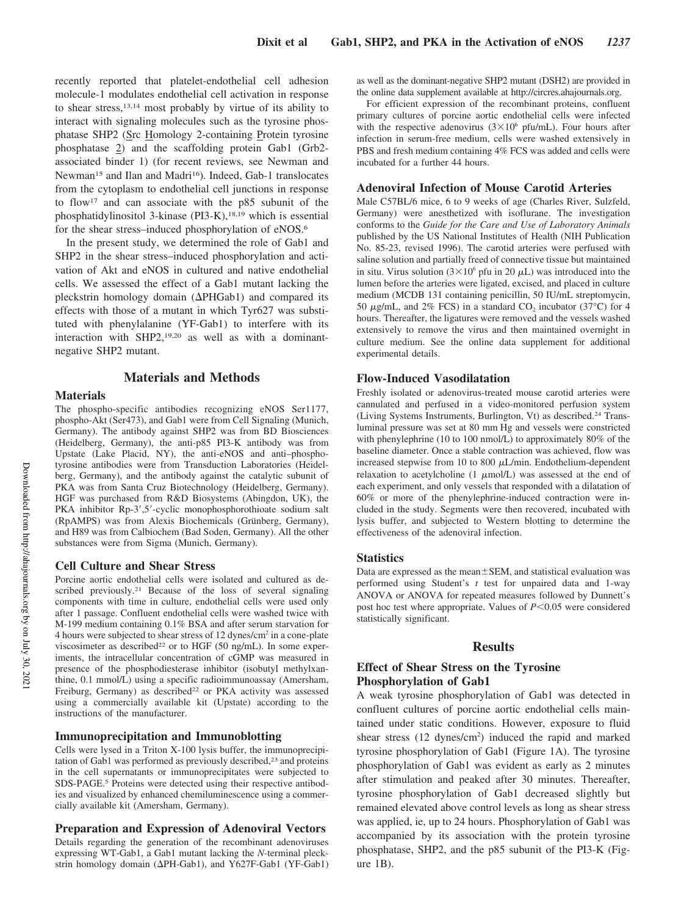recently reported that platelet-endothelial cell adhesion molecule-1 modulates endothelial cell activation in response to shear stress,13,14 most probably by virtue of its ability to interact with signaling molecules such as the tyrosine phosphatase SHP2 (Src Homology 2-containing Protein tyrosine phosphatase 2) and the scaffolding protein Gab1 (Grb2 associated binder 1) (for recent reviews, see Newman and Newman<sup>15</sup> and Ilan and Madri<sup>16</sup>). Indeed, Gab-1 translocates from the cytoplasm to endothelial cell junctions in response to flow<sup>17</sup> and can associate with the p85 subunit of the phosphatidylinositol 3-kinase (PI3-K),<sup>18,19</sup> which is essential for the shear stress–induced phosphorylation of eNOS.<sup>6</sup>

In the present study, we determined the role of Gab1 and SHP2 in the shear stress–induced phosphorylation and activation of Akt and eNOS in cultured and native endothelial cells. We assessed the effect of a Gab1 mutant lacking the pleckstrin homology domain ( $\Delta$ PHGab1) and compared its effects with those of a mutant in which Tyr627 was substituted with phenylalanine (YF-Gab1) to interfere with its interaction with SHP2,19,20 as well as with a dominantnegative SHP2 mutant.

# **Materials and Methods**

## **Materials**

The phospho-specific antibodies recognizing eNOS Ser1177, phospho-Akt (Ser473), and Gab1 were from Cell Signaling (Munich, Germany). The antibody against SHP2 was from BD Biosciences (Heidelberg, Germany), the anti-p85 PI3-K antibody was from Upstate (Lake Placid, NY), the anti-eNOS and anti–phosphotyrosine antibodies were from Transduction Laboratories (Heidelberg, Germany), and the antibody against the catalytic subunit of PKA was from Santa Cruz Biotechnology (Heidelberg, Germany). HGF was purchased from R&D Biosystems (Abingdon, UK), the PKA inhibitor Rp-3',5'-cyclic monophosphorothioate sodium salt (RpAMPS) was from Alexis Biochemicals (Grünberg, Germany), and H89 was from Calbiochem (Bad Soden, Germany). All the other substances were from Sigma (Munich, Germany).

#### **Cell Culture and Shear Stress**

Porcine aortic endothelial cells were isolated and cultured as described previously.<sup>21</sup> Because of the loss of several signaling components with time in culture, endothelial cells were used only after 1 passage. Confluent endothelial cells were washed twice with M-199 medium containing 0.1% BSA and after serum starvation for 4 hours were subjected to shear stress of 12 dynes/cm<sup>2</sup> in a cone-plate viscosimeter as described<sup>22</sup> or to HGF (50 ng/mL). In some experiments, the intracellular concentration of cGMP was measured in presence of the phosphodiesterase inhibitor (isobutyl methylxanthine, 0.1 mmol/L) using a specific radioimmunoassay (Amersham, Freiburg, Germany) as described<sup>22</sup> or PKA activity was assessed using a commercially available kit (Upstate) according to the instructions of the manufacturer.

## **Immunoprecipitation and Immunoblotting**

Cells were lysed in a Triton X-100 lysis buffer, the immunoprecipitation of Gab1 was performed as previously described,<sup>23</sup> and proteins in the cell supernatants or immunoprecipitates were subjected to SDS-PAGE.<sup>5</sup> Proteins were detected using their respective antibodies and visualized by enhanced chemiluminescence using a commercially available kit (Amersham, Germany).

# **Preparation and Expression of Adenoviral Vectors**

Details regarding the generation of the recombinant adenoviruses expressing WT-Gab1, a Gab1 mutant lacking the *N*-terminal pleckstrin homology domain ( $\Delta$ PH-Gab1), and Y627F-Gab1 (YF-Gab1)

as well as the dominant-negative SHP2 mutant (DSH2) are provided in the online data supplement available at http://circres.ahajournals.org.

For efficient expression of the recombinant proteins, confluent primary cultures of porcine aortic endothelial cells were infected with the respective adenovirus  $(3 \times 10^6 \text{ pftt/mL})$ . Four hours after infection in serum-free medium, cells were washed extensively in PBS and fresh medium containing 4% FCS was added and cells were incubated for a further 44 hours.

#### **Adenoviral Infection of Mouse Carotid Arteries**

Male C57BL/6 mice, 6 to 9 weeks of age (Charles River, Sulzfeld, Germany) were anesthetized with isoflurane. The investigation conforms to the *Guide for the Care and Use of Laboratory Animals* published by the US National Institutes of Health (NIH Publication No. 85-23, revised 1996). The carotid arteries were perfused with saline solution and partially freed of connective tissue but maintained in situ. Virus solution  $(3 \times 10^6$  pfu in 20  $\mu$ L) was introduced into the lumen before the arteries were ligated, excised, and placed in culture medium (MCDB 131 containing penicillin, 50 IU/mL streptomycin, 50  $\mu$ g/mL, and 2% FCS) in a standard CO<sub>2</sub> incubator (37°C) for 4 hours. Thereafter, the ligatures were removed and the vessels washed extensively to remove the virus and then maintained overnight in culture medium. See the online data supplement for additional experimental details.

## **Flow-Induced Vasodilatation**

Freshly isolated or adenovirus-treated mouse carotid arteries were cannulated and perfused in a video-monitored perfusion system (Living Systems Instruments, Burlington, Vt) as described.<sup>24</sup> Transluminal pressure was set at 80 mm Hg and vessels were constricted with phenylephrine (10 to 100 nmol/L) to approximately 80% of the baseline diameter. Once a stable contraction was achieved, flow was increased stepwise from 10 to 800  $\mu$ L/min. Endothelium-dependent relaxation to acetylcholine  $(1 \mu \text{mol/L})$  was assessed at the end of each experiment, and only vessels that responded with a dilatation of 60% or more of the phenylephrine-induced contraction were included in the study. Segments were then recovered, incubated with lysis buffer, and subjected to Western blotting to determine the effectiveness of the adenoviral infection.

## **Statistics**

Data are expressed as the mean $\pm$ SEM, and statistical evaluation was performed using Student's *t* test for unpaired data and 1-way ANOVA or ANOVA for repeated measures followed by Dunnett's post hoc test where appropriate. Values of  $P<0.05$  were considered statistically significant.

# **Results**

# **Effect of Shear Stress on the Tyrosine Phosphorylation of Gab1**

A weak tyrosine phosphorylation of Gab1 was detected in confluent cultures of porcine aortic endothelial cells maintained under static conditions. However, exposure to fluid shear stress (12 dynes/cm<sup>2</sup>) induced the rapid and marked tyrosine phosphorylation of Gab1 (Figure 1A). The tyrosine phosphorylation of Gab1 was evident as early as 2 minutes after stimulation and peaked after 30 minutes. Thereafter, tyrosine phosphorylation of Gab1 decreased slightly but remained elevated above control levels as long as shear stress was applied, ie, up to 24 hours. Phosphorylation of Gab1 was accompanied by its association with the protein tyrosine phosphatase, SHP2, and the p85 subunit of the PI3-K (Figure 1B).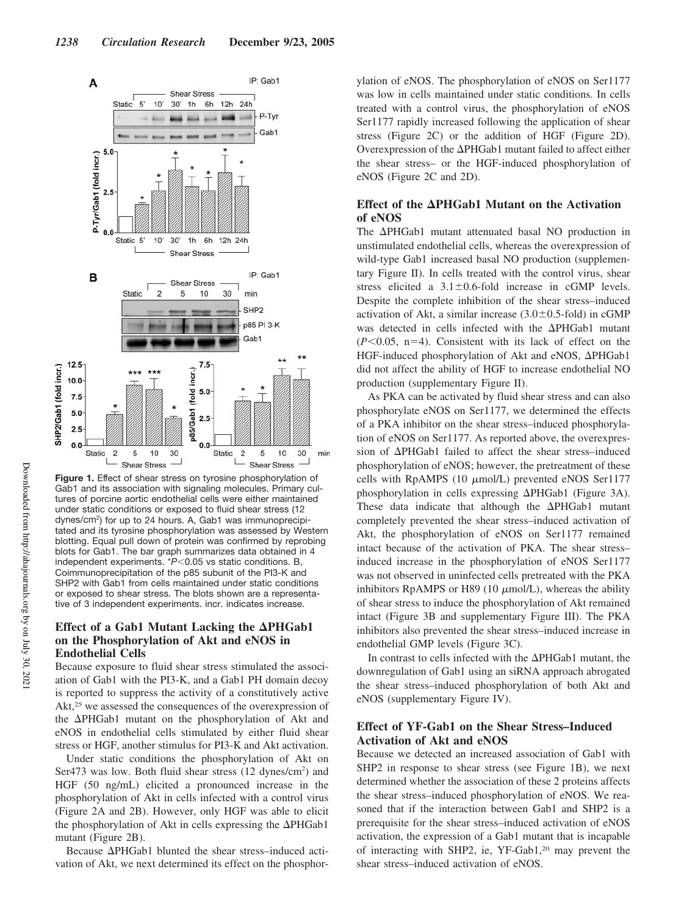

**Figure 1.** Effect of shear stress on tyrosine phosphorylation of Gab1 and its association with signaling molecules. Primary cultures of porcine aortic endothelial cells were either maintained under static conditions or exposed to fluid shear stress (12 dynes/cm<sup>2</sup>) for up to 24 hours. A, Gab1 was immunoprecipitated and its tyrosine phosphorylation was assessed by Western blotting. Equal pull down of protein was confirmed by reprobing blots for Gab1. The bar graph summarizes data obtained in 4 independent experiments.  $P$ <0.05 vs static conditions. B, Coimmunoprecipitation of the p85 subunit of the PI3-K and SHP2 with Gab1 from cells maintained under static conditions or exposed to shear stress. The blots shown are a representative of 3 independent experiments. incr. indicates increase.

# **Effect of a Gab1 Mutant Lacking the**  $\Delta PHGab1$ **on the Phosphorylation of Akt and eNOS in Endothelial Cells**

Because exposure to fluid shear stress stimulated the association of Gab1 with the PI3-K, and a Gab1 PH domain decoy is reported to suppress the activity of a constitutively active Akt,<sup>25</sup> we assessed the consequences of the overexpression of the  $\Delta$ PHGab1 mutant on the phosphorylation of Akt and eNOS in endothelial cells stimulated by either fluid shear stress or HGF, another stimulus for PI3-K and Akt activation.

Under static conditions the phosphorylation of Akt on Ser473 was low. Both fluid shear stress (12 dynes/cm<sup>2</sup>) and HGF (50 ng/mL) elicited a pronounced increase in the phosphorylation of Akt in cells infected with a control virus (Figure 2A and 2B). However, only HGF was able to elicit the phosphorylation of Akt in cells expressing the  $\Delta$ PHGab1 mutant (Figure 2B).

Because  $\Delta$ PHGab1 blunted the shear stress-induced activation of Akt, we next determined its effect on the phosphorylation of eNOS. The phosphorylation of eNOS on Ser1177 was low in cells maintained under static conditions. In cells treated with a control virus, the phosphorylation of eNOS Ser1177 rapidly increased following the application of shear stress (Figure 2C) or the addition of HGF (Figure 2D). Overexpression of the  $\Delta$ PHGab1 mutant failed to affect either the shear stress– or the HGF-induced phosphorylation of eNOS (Figure 2C and 2D).

# Effect of the **APHGab1** Mutant on the Activation **of eNOS**

The  $\Delta$ PHGab1 mutant attenuated basal NO production in unstimulated endothelial cells, whereas the overexpression of wild-type Gab1 increased basal NO production (supplementary Figure II). In cells treated with the control virus, shear stress elicited a  $3.1 \pm 0.6$ -fold increase in cGMP levels. Despite the complete inhibition of the shear stress–induced activation of Akt, a similar increase  $(3.0 \pm 0.5 \text{-} \text{fold})$  in cGMP was detected in cells infected with the  $\Delta$ PHGab1 mutant  $(P<0.05$ , n=4). Consistent with its lack of effect on the HGF-induced phosphorylation of Akt and eNOS,  $\Delta$ PHGab1 did not affect the ability of HGF to increase endothelial NO production (supplementary Figure II).

As PKA can be activated by fluid shear stress and can also phosphorylate eNOS on Ser1177, we determined the effects of a PKA inhibitor on the shear stress–induced phosphorylation of eNOS on Ser1177. As reported above, the overexpression of  $\Delta$ PHGab1 failed to affect the shear stress-induced phosphorylation of eNOS; however, the pretreatment of these cells with RpAMPS (10  $\mu$ mol/L) prevented eNOS Ser1177 phosphorylation in cells expressing  $\Delta$ PHGab1 (Figure 3A). These data indicate that although the  $\Delta$ PHGab1 mutant completely prevented the shear stress–induced activation of Akt, the phosphorylation of eNOS on Ser1177 remained intact because of the activation of PKA. The shear stress– induced increase in the phosphorylation of eNOS Ser1177 was not observed in uninfected cells pretreated with the PKA inhibitors RpAMPS or H89 (10  $\mu$ mol/L), whereas the ability of shear stress to induce the phosphorylation of Akt remained intact (Figure 3B and supplementary Figure III). The PKA inhibitors also prevented the shear stress–induced increase in endothelial GMP levels (Figure 3C).

In contrast to cells infected with the  $\Delta$ PHGab1 mutant, the downregulation of Gab1 using an siRNA approach abrogated the shear stress–induced phosphorylation of both Akt and eNOS (supplementary Figure IV).

# **Effect of YF-Gab1 on the Shear Stress–Induced Activation of Akt and eNOS**

Because we detected an increased association of Gab1 with SHP2 in response to shear stress (see Figure 1B), we next determined whether the association of these 2 proteins affects the shear stress–induced phosphorylation of eNOS. We reasoned that if the interaction between Gab1 and SHP2 is a prerequisite for the shear stress–induced activation of eNOS activation, the expression of a Gab1 mutant that is incapable of interacting with SHP2, ie, YF-Gab1,<sup>20</sup> may prevent the shear stress–induced activation of eNOS.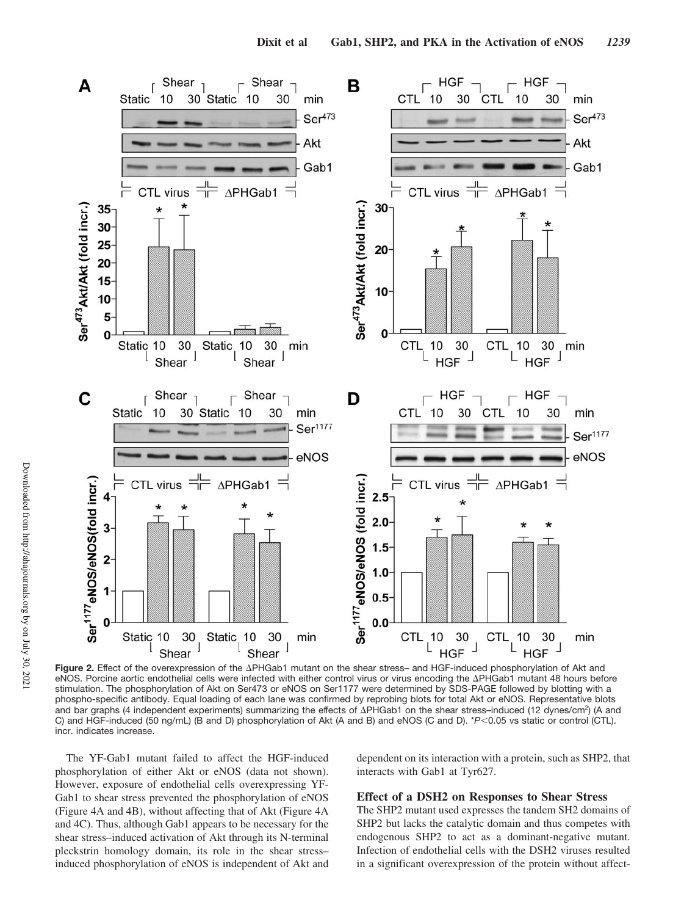

Figure 2. Effect of the overexpression of the APHGab1 mutant on the shear stress– and HGF-induced phosphorylation of Akt and eNOS. Porcine aortic endothelial cells were infected with either control virus or virus encoding the APHGab1 mutant 48 hours before stimulation. The phosphorylation of Akt on Ser473 or eNOS on Ser1177 were determined by SDS-PAGE followed by blotting with a phospho-specific antibody. Equal loading of each lane was confirmed by reprobing blots for total Akt or eNOS. Representative blots and bar graphs (4 independent experiments) summarizing the effects of APHGab1 on the shear stress-induced (12 dynes/cm<sup>2</sup>) (A and C) and HGF-induced (50 ng/mL) (B and D) phosphorylation of Akt (A and B) and eNOS (C and D). \**P*<0.05 vs static or control (CTL). incr. indicates increase.

The YF-Gab1 mutant failed to affect the HGF-induced phosphorylation of either Akt or eNOS (data not shown). However, exposure of endothelial cells overexpressing YF-Gab1 to shear stress prevented the phosphorylation of eNOS (Figure 4A and 4B), without affecting that of Akt (Figure 4A and 4C). Thus, although Gab1 appears to be necessary for the shear stress–induced activation of Akt through its N-terminal pleckstrin homology domain, its role in the shear stress– induced phosphorylation of eNOS is independent of Akt and dependent on its interaction with a protein, such as SHP2, that interacts with Gab1 at Tyr627.

## **Effect of a DSH2 on Responses to Shear Stress**

The SHP2 mutant used expresses the tandem SH2 domains of SHP2 but lacks the catalytic domain and thus competes with endogenous SHP2 to act as a dominant-negative mutant. Infection of endothelial cells with the DSH2 viruses resulted in a significant overexpression of the protein without affect-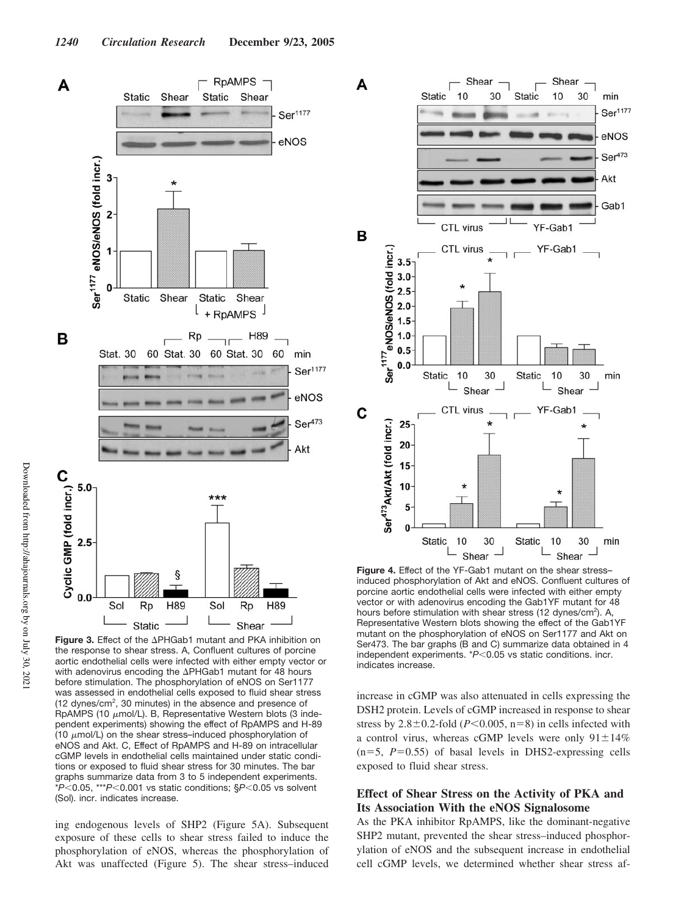

Figure 3. Effect of the APHGab1 mutant and PKA inhibition on the response to shear stress. A, Confluent cultures of porcine aortic endothelial cells were infected with either empty vector or with adenovirus encoding the  $\Delta$ PHGab1 mutant for 48 hours before stimulation. The phosphorylation of eNOS on Ser1177 was assessed in endothelial cells exposed to fluid shear stress (12 dynes/cm<sup>2</sup>, 30 minutes) in the absence and presence of RpAMPS (10  $\mu$ mol/L). B, Representative Western blots (3 independent experiments) showing the effect of RpAMPS and H-89 (10  $\mu$ mol/L) on the shear stress–induced phosphorylation of eNOS and Akt. C, Effect of RpAMPS and H-89 on intracellular cGMP levels in endothelial cells maintained under static conditions or exposed to fluid shear stress for 30 minutes. The bar graphs summarize data from 3 to 5 independent experiments.  $*P$ <0.05, \*\*\* $P$ <0.001 vs static conditions;  $$P$ <0.05 vs solvent (Sol). incr. indicates increase.

ing endogenous levels of SHP2 (Figure 5A). Subsequent exposure of these cells to shear stress failed to induce the phosphorylation of eNOS, whereas the phosphorylation of Akt was unaffected (Figure 5). The shear stress–induced



**Figure 4.** Effect of the YF-Gab1 mutant on the shear stress– induced phosphorylation of Akt and eNOS. Confluent cultures of porcine aortic endothelial cells were infected with either empty vector or with adenovirus encoding the Gab1YF mutant for 48 hours before stimulation with shear stress (12 dynes/cm<sup>2</sup>). A, Representative Western blots showing the effect of the Gab1YF mutant on the phosphorylation of eNOS on Ser1177 and Akt on Ser473. The bar graphs (B and C) summarize data obtained in 4 independent experiments. \**P*<0.05 vs static conditions. incr. indicates increase.

increase in cGMP was also attenuated in cells expressing the DSH2 protein. Levels of cGMP increased in response to shear stress by  $2.8\pm0.2$ -fold (*P*<0.005, n=8) in cells infected with a control virus, whereas cGMP levels were only  $91 \pm 14\%$  $(n=5, P=0.55)$  of basal levels in DHS2-expressing cells exposed to fluid shear stress.

# **Effect of Shear Stress on the Activity of PKA and Its Association With the eNOS Signalosome**

As the PKA inhibitor RpAMPS, like the dominant-negative SHP2 mutant, prevented the shear stress–induced phosphorylation of eNOS and the subsequent increase in endothelial cell cGMP levels, we determined whether shear stress af-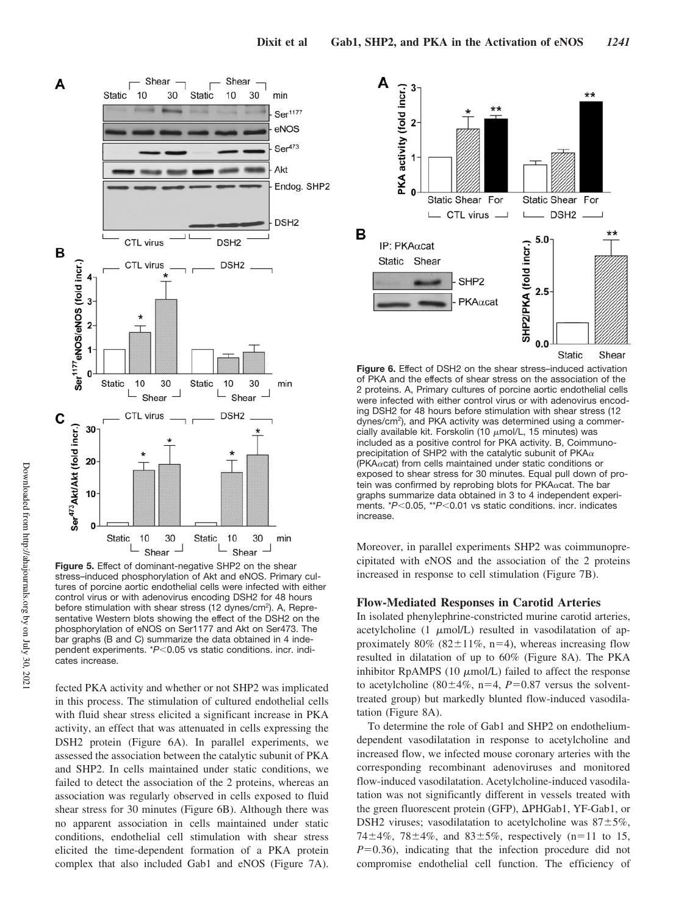

**Figure 5.** Effect of dominant-negative SHP2 on the shear stress–induced phosphorylation of Akt and eNOS. Primary cultures of porcine aortic endothelial cells were infected with either control virus or with adenovirus encoding DSH2 for 48 hours before stimulation with shear stress (12 dynes/cm<sup>2</sup>). A, Representative Western blots showing the effect of the DSH2 on the phosphorylation of eNOS on Ser1177 and Akt on Ser473. The bar graphs (B and C) summarize the data obtained in 4 independent experiments. \**P*<0.05 vs static conditions. incr. indicates increase.

fected PKA activity and whether or not SHP2 was implicated in this process. The stimulation of cultured endothelial cells with fluid shear stress elicited a significant increase in PKA activity, an effect that was attenuated in cells expressing the DSH2 protein (Figure 6A). In parallel experiments, we assessed the association between the catalytic subunit of PKA and SHP2. In cells maintained under static conditions, we failed to detect the association of the 2 proteins, whereas an association was regularly observed in cells exposed to fluid shear stress for 30 minutes (Figure 6B). Although there was no apparent association in cells maintained under static conditions, endothelial cell stimulation with shear stress elicited the time-dependent formation of a PKA protein complex that also included Gab1 and eNOS (Figure 7A).



**Figure 6.** Effect of DSH2 on the shear stress–induced activation of PKA and the effects of shear stress on the association of the 2 proteins. A, Primary cultures of porcine aortic endothelial cells were infected with either control virus or with adenovirus encoding DSH2 for 48 hours before stimulation with shear stress (12 dynes/cm<sup>2</sup>), and PKA activity was determined using a commercially available kit. Forskolin (10  $\mu$ mol/L, 15 minutes) was included as a positive control for PKA activity. B, Coimmunoprecipitation of SHP2 with the catalytic subunit of PKA $\alpha$ (PKA $\alpha$ cat) from cells maintained under static conditions or exposed to shear stress for 30 minutes. Equal pull down of protein was confirmed by reprobing blots for PKA $\alpha$ cat. The bar graphs summarize data obtained in 3 to 4 independent experiments. \**P*<0.05, \*\**P*<0.01 vs static conditions. incr. indicates increase.

Moreover, in parallel experiments SHP2 was coimmunoprecipitated with eNOS and the association of the 2 proteins increased in response to cell stimulation (Figure 7B).

## **Flow-Mediated Responses in Carotid Arteries**

In isolated phenylephrine-constricted murine carotid arteries, acetylcholine  $(1 \mu \text{mol/L})$  resulted in vasodilatation of approximately 80% (82 $\pm$ 11%, n=4), whereas increasing flow resulted in dilatation of up to 60% (Figure 8A). The PKA inhibitor RpAMPS (10  $\mu$ mol/L) failed to affect the response to acetylcholine (80 $\pm$ 4%, n=4, *P*=0.87 versus the solventtreated group) but markedly blunted flow-induced vasodilatation (Figure 8A).

To determine the role of Gab1 and SHP2 on endotheliumdependent vasodilatation in response to acetylcholine and increased flow, we infected mouse coronary arteries with the corresponding recombinant adenoviruses and monitored flow-induced vasodilatation. Acetylcholine-induced vasodilatation was not significantly different in vessels treated with the green fluorescent protein (GFP),  $\Delta$ PHGab1, YF-Gab1, or DSH2 viruses; vasodilatation to acetylcholine was  $87 \pm 5\%$ , 74 $\pm$ 4%, 78 $\pm$ 4%, and 83 $\pm$ 5%, respectively (n=11 to 15,  $P=0.36$ ), indicating that the infection procedure did not compromise endothelial cell function. The efficiency of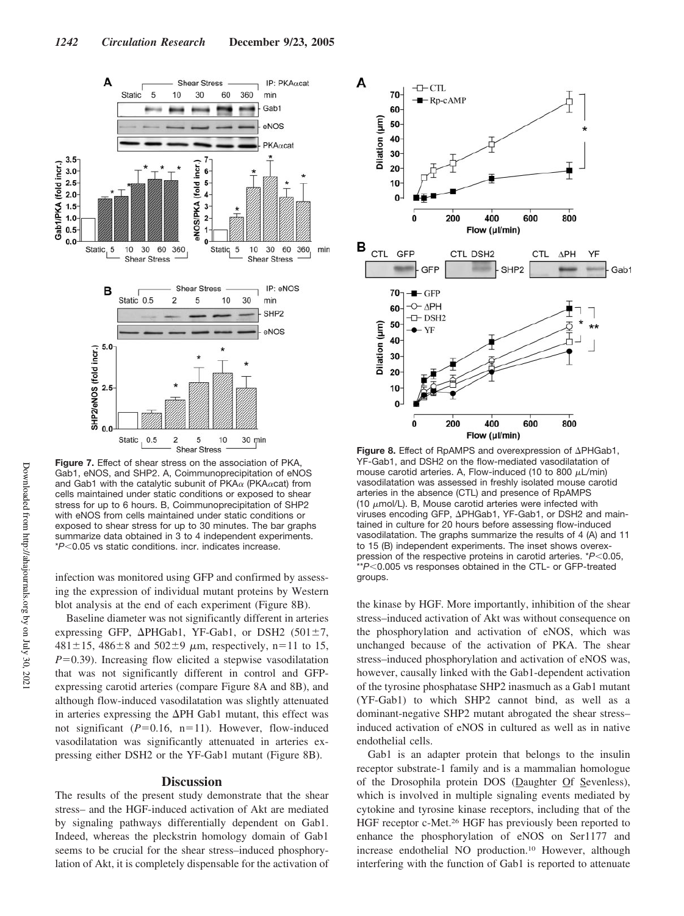

**Figure 7.** Effect of shear stress on the association of PKA, Gab1, eNOS, and SHP2. A, Coimmunoprecipitation of eNOS and Gab1 with the catalytic subunit of PKA $\alpha$  (PKA $\alpha$ cat) from cells maintained under static conditions or exposed to shear stress for up to 6 hours. B, Coimmunoprecipitation of SHP2 with eNOS from cells maintained under static conditions or exposed to shear stress for up to 30 minutes. The bar graphs summarize data obtained in 3 to 4 independent experiments. \**P*0.05 vs static conditions. incr. indicates increase.

infection was monitored using GFP and confirmed by assessing the expression of individual mutant proteins by Western blot analysis at the end of each experiment (Figure 8B).

Baseline diameter was not significantly different in arteries expressing GFP,  $\Delta$ PHGab1, YF-Gab1, or DSH2 (501 $\pm$ 7,  $481 \pm 15$ ,  $486 \pm 8$  and  $502 \pm 9$  µm, respectively, n=11 to 15,  $P=0.39$ ). Increasing flow elicited a stepwise vasodilatation that was not significantly different in control and GFPexpressing carotid arteries (compare Figure 8A and 8B), and although flow-induced vasodilatation was slightly attenuated in arteries expressing the  $\Delta$ PH Gab1 mutant, this effect was not significant  $(P=0.16, n=11)$ . However, flow-induced vasodilatation was significantly attenuated in arteries expressing either DSH2 or the YF-Gab1 mutant (Figure 8B).

## **Discussion**

The results of the present study demonstrate that the shear stress– and the HGF-induced activation of Akt are mediated by signaling pathways differentially dependent on Gab1. Indeed, whereas the pleckstrin homology domain of Gab1 seems to be crucial for the shear stress–induced phosphorylation of Akt, it is completely dispensable for the activation of



Figure 8. Effect of RpAMPS and overexpression of APHGab1, YF-Gab1, and DSH2 on the flow-mediated vasodilatation of mouse carotid arteries. A, Flow-induced (10 to 800  $\mu$ L/min) vasodilatation was assessed in freshly isolated mouse carotid arteries in the absence (CTL) and presence of RpAMPS (10  $\mu$ mol/L). B, Mouse carotid arteries were infected with viruses encoding GFP,  $\Delta$ PHGab1, YF-Gab1, or DSH2 and maintained in culture for 20 hours before assessing flow-induced vasodilatation. The graphs summarize the results of 4 (A) and 11 to 15 (B) independent experiments. The inset shows overexpression of the respective proteins in carotid arteries. \*P<0.05, \*\*P<0.005 vs responses obtained in the CTL- or GFP-treated groups.

the kinase by HGF. More importantly, inhibition of the shear stress–induced activation of Akt was without consequence on the phosphorylation and activation of eNOS, which was unchanged because of the activation of PKA. The shear stress–induced phosphorylation and activation of eNOS was, however, causally linked with the Gab1-dependent activation of the tyrosine phosphatase SHP2 inasmuch as a Gab1 mutant (YF-Gab1) to which SHP2 cannot bind, as well as a dominant-negative SHP2 mutant abrogated the shear stress– induced activation of eNOS in cultured as well as in native endothelial cells.

Gab1 is an adapter protein that belongs to the insulin receptor substrate-1 family and is a mammalian homologue of the Drosophila protein DOS (Daughter Of Sevenless), which is involved in multiple signaling events mediated by cytokine and tyrosine kinase receptors, including that of the HGF receptor c-Met.<sup>26</sup> HGF has previously been reported to enhance the phosphorylation of eNOS on Ser1177 and increase endothelial NO production.<sup>10</sup> However, although interfering with the function of Gab1 is reported to attenuate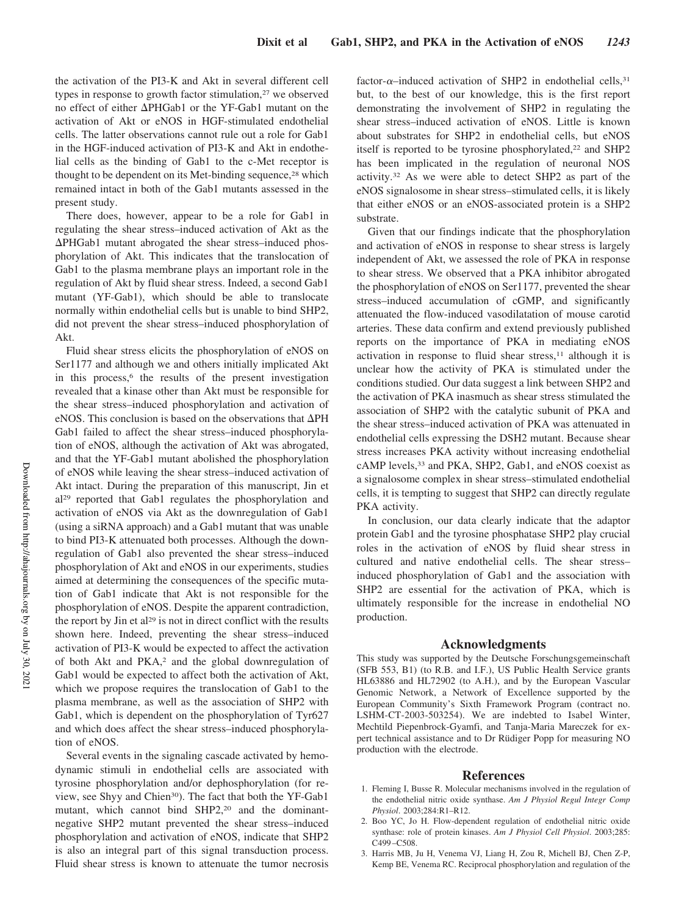the activation of the PI3-K and Akt in several different cell types in response to growth factor stimulation,<sup>27</sup> we observed no effect of either  $\Delta$ PHGab1 or the YF-Gab1 mutant on the activation of Akt or eNOS in HGF-stimulated endothelial cells. The latter observations cannot rule out a role for Gab1 in the HGF-induced activation of PI3-K and Akt in endothelial cells as the binding of Gab1 to the c-Met receptor is thought to be dependent on its Met-binding sequence,<sup>28</sup> which remained intact in both of the Gab1 mutants assessed in the present study.

There does, however, appear to be a role for Gab1 in regulating the shear stress–induced activation of Akt as the -PHGab1 mutant abrogated the shear stress–induced phosphorylation of Akt. This indicates that the translocation of Gab1 to the plasma membrane plays an important role in the regulation of Akt by fluid shear stress. Indeed, a second Gab1 mutant (YF-Gab1), which should be able to translocate normally within endothelial cells but is unable to bind SHP2, did not prevent the shear stress–induced phosphorylation of Akt.

Fluid shear stress elicits the phosphorylation of eNOS on Ser1177 and although we and others initially implicated Akt in this process,<sup>6</sup> the results of the present investigation revealed that a kinase other than Akt must be responsible for the shear stress–induced phosphorylation and activation of eNOS. This conclusion is based on the observations that  $\Delta$ PH Gab1 failed to affect the shear stress–induced phosphorylation of eNOS, although the activation of Akt was abrogated, and that the YF-Gab1 mutant abolished the phosphorylation of eNOS while leaving the shear stress–induced activation of Akt intact. During the preparation of this manuscript, Jin et al<sup>29</sup> reported that Gab1 regulates the phosphorylation and activation of eNOS via Akt as the downregulation of Gab1 (using a siRNA approach) and a Gab1 mutant that was unable to bind PI3-K attenuated both processes. Although the downregulation of Gab1 also prevented the shear stress–induced phosphorylation of Akt and eNOS in our experiments, studies aimed at determining the consequences of the specific mutation of Gab1 indicate that Akt is not responsible for the phosphorylation of eNOS. Despite the apparent contradiction, the report by Jin et al<sup>29</sup> is not in direct conflict with the results shown here. Indeed, preventing the shear stress–induced activation of PI3-K would be expected to affect the activation of both Akt and PKA,<sup>2</sup> and the global downregulation of Gab1 would be expected to affect both the activation of Akt, which we propose requires the translocation of Gab1 to the plasma membrane, as well as the association of SHP2 with Gab1, which is dependent on the phosphorylation of Tyr627 and which does affect the shear stress–induced phosphorylation of eNOS.

Several events in the signaling cascade activated by hemodynamic stimuli in endothelial cells are associated with tyrosine phosphorylation and/or dephosphorylation (for review, see Shyy and Chien<sup>30</sup>). The fact that both the YF-Gab1 mutant, which cannot bind SHP2,<sup>20</sup> and the dominantnegative SHP2 mutant prevented the shear stress–induced phosphorylation and activation of eNOS, indicate that SHP2 is also an integral part of this signal transduction process. Fluid shear stress is known to attenuate the tumor necrosis

factor- $\alpha$ -induced activation of SHP2 in endothelial cells,<sup>31</sup> but, to the best of our knowledge, this is the first report demonstrating the involvement of SHP2 in regulating the shear stress–induced activation of eNOS. Little is known about substrates for SHP2 in endothelial cells, but eNOS itself is reported to be tyrosine phosphorylated, $22$  and SHP2 has been implicated in the regulation of neuronal NOS activity.<sup>32</sup> As we were able to detect SHP2 as part of the eNOS signalosome in shear stress–stimulated cells, it is likely that either eNOS or an eNOS-associated protein is a SHP2 substrate.

Given that our findings indicate that the phosphorylation and activation of eNOS in response to shear stress is largely independent of Akt, we assessed the role of PKA in response to shear stress. We observed that a PKA inhibitor abrogated the phosphorylation of eNOS on Ser1177, prevented the shear stress–induced accumulation of cGMP, and significantly attenuated the flow-induced vasodilatation of mouse carotid arteries. These data confirm and extend previously published reports on the importance of PKA in mediating eNOS activation in response to fluid shear stress, $11$  although it is unclear how the activity of PKA is stimulated under the conditions studied. Our data suggest a link between SHP2 and the activation of PKA inasmuch as shear stress stimulated the association of SHP2 with the catalytic subunit of PKA and the shear stress–induced activation of PKA was attenuated in endothelial cells expressing the DSH2 mutant. Because shear stress increases PKA activity without increasing endothelial cAMP levels,<sup>33</sup> and PKA, SHP2, Gab1, and eNOS coexist as a signalosome complex in shear stress–stimulated endothelial cells, it is tempting to suggest that SHP2 can directly regulate PKA activity.

In conclusion, our data clearly indicate that the adaptor protein Gab1 and the tyrosine phosphatase SHP2 play crucial roles in the activation of eNOS by fluid shear stress in cultured and native endothelial cells. The shear stress– induced phosphorylation of Gab1 and the association with SHP2 are essential for the activation of PKA, which is ultimately responsible for the increase in endothelial NO production.

# **Acknowledgments**

This study was supported by the Deutsche Forschungsgemeinschaft (SFB 553, B1) (to R.B. and I.F.), US Public Health Service grants HL63886 and HL72902 (to A.H.), and by the European Vascular Genomic Network, a Network of Excellence supported by the European Community's Sixth Framework Program (contract no. LSHM-CT-2003-503254). We are indebted to Isabel Winter, Mechtild Piepenbrock-Gyamfi, and Tanja-Maria Mareczek for expert technical assistance and to Dr Rüdiger Popp for measuring NO production with the electrode.

#### **References**

- 1. Fleming I, Busse R. Molecular mechanisms involved in the regulation of the endothelial nitric oxide synthase. *Am J Physiol Regul Integr Comp Physiol*. 2003;284:R1–R12.
- 2. Boo YC, Jo H. Flow-dependent regulation of endothelial nitric oxide synthase: role of protein kinases. *Am J Physiol Cell Physiol*. 2003;285: C499–C508.
- 3. Harris MB, Ju H, Venema VJ, Liang H, Zou R, Michell BJ, Chen Z-P, Kemp BE, Venema RC. Reciprocal phosphorylation and regulation of the